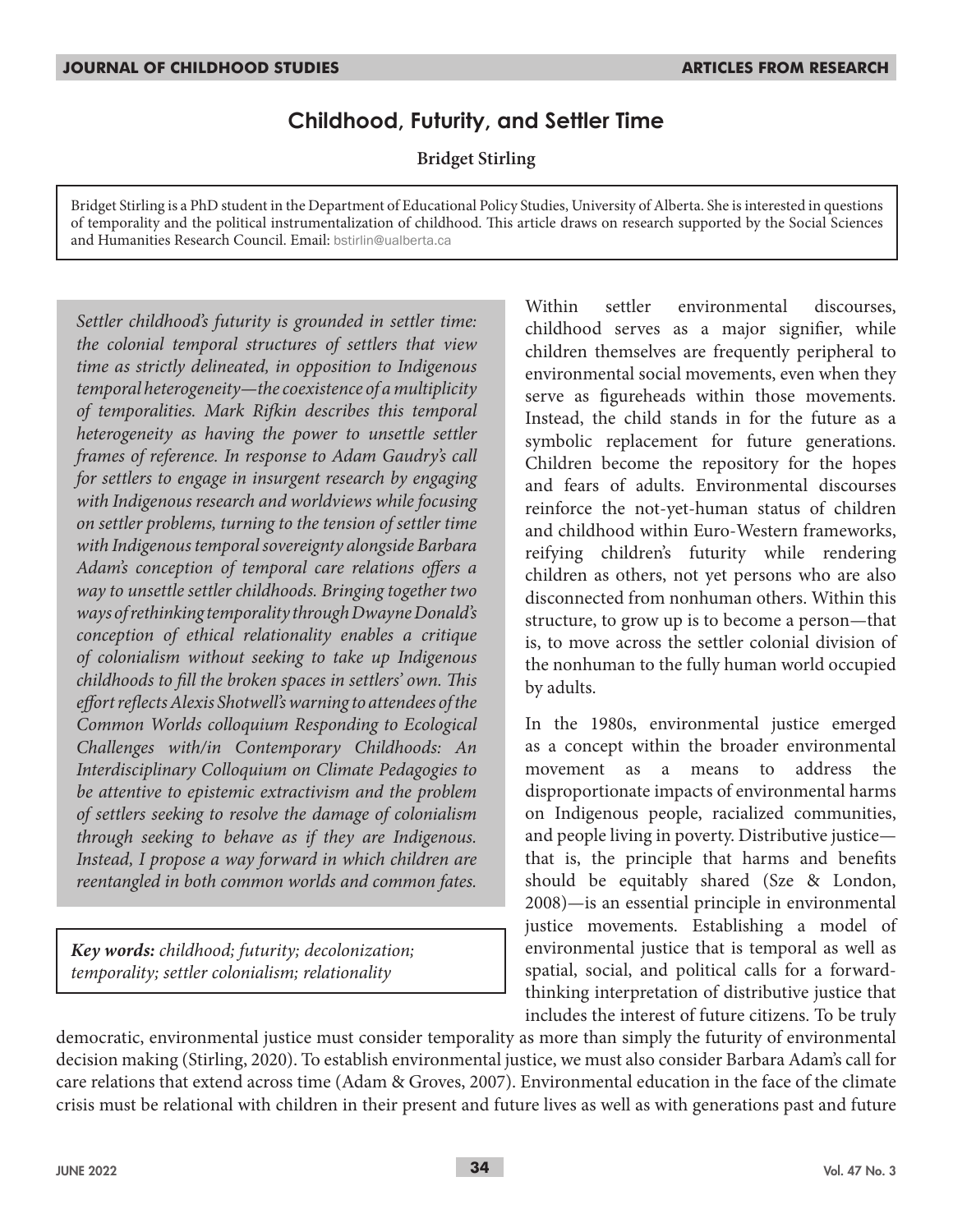# **Childhood, Futurity, and Settler Time**

**Bridget Stirling**

Bridget Stirling is a PhD student in the Department of Educational Policy Studies, University of Alberta. She is interested in questions of temporality and the political instrumentalization of childhood. This article draws on research supported by the Social Sciences and Humanities Research Council. Email: bstirlin@ualberta.ca

*Settler childhood's futurity is grounded in settler time: the colonial temporal structures of settlers that view time as strictly delineated, in opposition to Indigenous temporal heterogeneity—the coexistence of a multiplicity of temporalities. Mark Rifkin describes this temporal heterogeneity as having the power to unsettle settler frames of reference. In response to Adam Gaudry's call for settlers to engage in insurgent research by engaging with Indigenous research and worldviews while focusing on settler problems, turning to the tension of settler time with Indigenous temporal sovereignty alongside Barbara Adam's conception of temporal care relations offers a way to unsettle settler childhoods. Bringing together two ways of rethinking temporality through Dwayne Donald's conception of ethical relationality enables a critique of colonialism without seeking to take up Indigenous childhoods to fill the broken spaces in settlers' own. This effort reflects Alexis Shotwell's warning to attendees of the Common Worlds colloquium Responding to Ecological Challenges with/in Contemporary Childhoods: An Interdisciplinary Colloquium on Climate Pedagogies to be attentive to epistemic extractivism and the problem of settlers seeking to resolve the damage of colonialism through seeking to behave as if they are Indigenous. Instead, I propose a way forward in which children are reentangled in both common worlds and common fates.*

*Key words: childhood; futurity; decolonization; temporality; settler colonialism; relationality*

Within settler environmental discourses, childhood serves as a major signifier, while children themselves are frequently peripheral to environmental social movements, even when they serve as figureheads within those movements. Instead, the child stands in for the future as a symbolic replacement for future generations. Children become the repository for the hopes and fears of adults. Environmental discourses reinforce the not-yet-human status of children and childhood within Euro-Western frameworks, reifying children's futurity while rendering children as others, not yet persons who are also disconnected from nonhuman others. Within this structure, to grow up is to become a person—that is, to move across the settler colonial division of the nonhuman to the fully human world occupied by adults.

In the 1980s, environmental justice emerged as a concept within the broader environmental movement as a means to address the disproportionate impacts of environmental harms on Indigenous people, racialized communities, and people living in poverty. Distributive justice that is, the principle that harms and benefits should be equitably shared (Sze & London, 2008)—is an essential principle in environmental justice movements. Establishing a model of environmental justice that is temporal as well as spatial, social, and political calls for a forwardthinking interpretation of distributive justice that includes the interest of future citizens. To be truly

democratic, environmental justice must consider temporality as more than simply the futurity of environmental decision making (Stirling, 2020). To establish environmental justice, we must also consider Barbara Adam's call for care relations that extend across time (Adam & Groves, 2007). Environmental education in the face of the climate crisis must be relational with children in their present and future lives as well as with generations past and future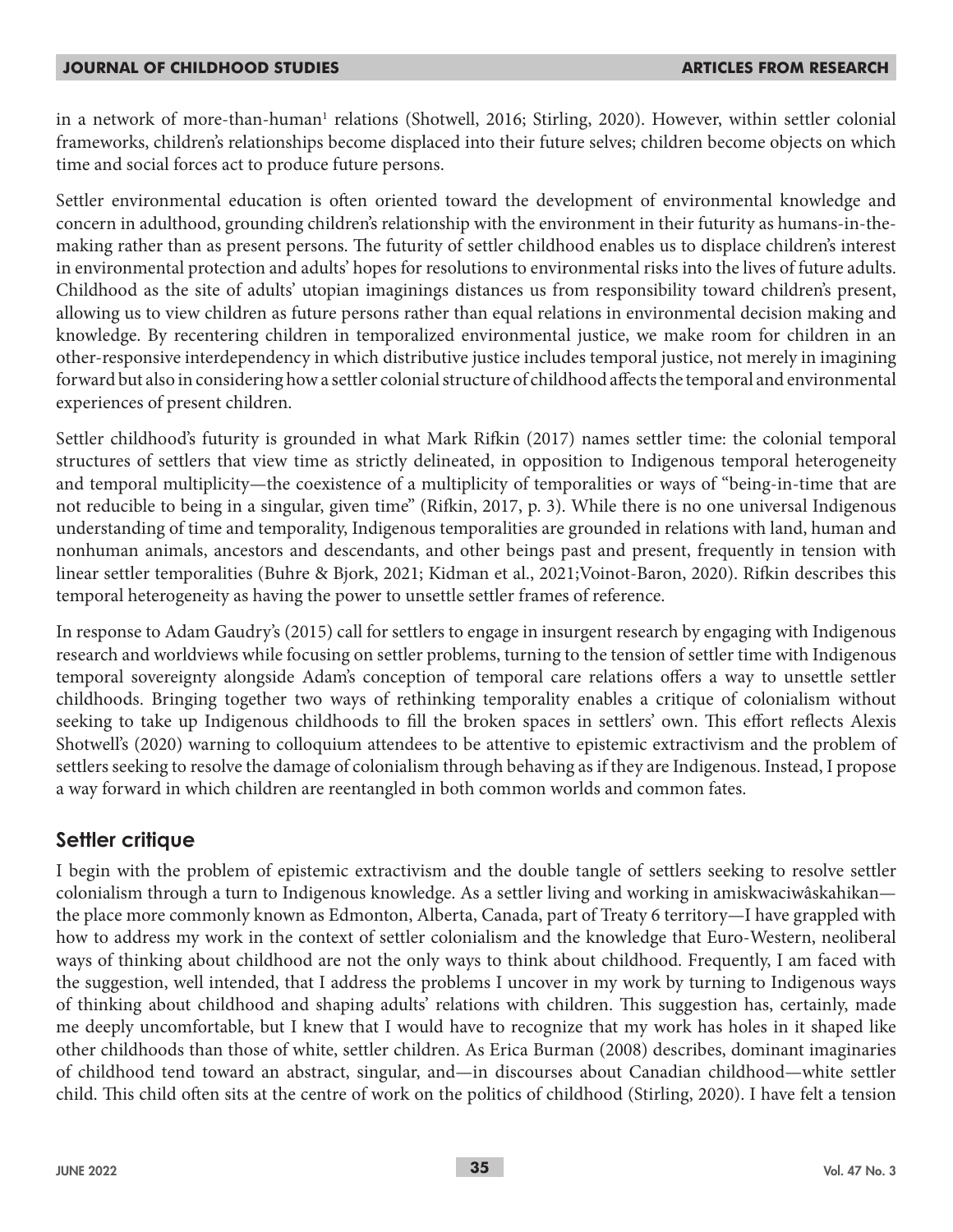in a network of more-than-human<sup>1</sup> relations (Shotwell, 2016; Stirling, 2020). However, within settler colonial frameworks, children's relationships become displaced into their future selves; children become objects on which time and social forces act to produce future persons.

Settler environmental education is often oriented toward the development of environmental knowledge and concern in adulthood, grounding children's relationship with the environment in their futurity as humans-in-themaking rather than as present persons. The futurity of settler childhood enables us to displace children's interest in environmental protection and adults' hopes for resolutions to environmental risks into the lives of future adults. Childhood as the site of adults' utopian imaginings distances us from responsibility toward children's present, allowing us to view children as future persons rather than equal relations in environmental decision making and knowledge. By recentering children in temporalized environmental justice, we make room for children in an other-responsive interdependency in which distributive justice includes temporal justice, not merely in imagining forward but also in considering how a settler colonial structure of childhood affects the temporal and environmental experiences of present children.

Settler childhood's futurity is grounded in what Mark Rifkin (2017) names settler time: the colonial temporal structures of settlers that view time as strictly delineated, in opposition to Indigenous temporal heterogeneity and temporal multiplicity—the coexistence of a multiplicity of temporalities or ways of "being-in-time that are not reducible to being in a singular, given time" (Rifkin, 2017, p. 3). While there is no one universal Indigenous understanding of time and temporality, Indigenous temporalities are grounded in relations with land, human and nonhuman animals, ancestors and descendants, and other beings past and present, frequently in tension with linear settler temporalities (Buhre & Bjork, 2021; Kidman et al., 2021;Voinot-Baron, 2020). Rifkin describes this temporal heterogeneity as having the power to unsettle settler frames of reference.

In response to Adam Gaudry's (2015) call for settlers to engage in insurgent research by engaging with Indigenous research and worldviews while focusing on settler problems, turning to the tension of settler time with Indigenous temporal sovereignty alongside Adam's conception of temporal care relations offers a way to unsettle settler childhoods. Bringing together two ways of rethinking temporality enables a critique of colonialism without seeking to take up Indigenous childhoods to fill the broken spaces in settlers' own. This effort reflects Alexis Shotwell's (2020) warning to colloquium attendees to be attentive to epistemic extractivism and the problem of settlers seeking to resolve the damage of colonialism through behaving as if they are Indigenous. Instead, I propose a way forward in which children are reentangled in both common worlds and common fates.

## **Settler critique**

I begin with the problem of epistemic extractivism and the double tangle of settlers seeking to resolve settler colonialism through a turn to Indigenous knowledge. As a settler living and working in amiskwaciwâskahikan the place more commonly known as Edmonton, Alberta, Canada, part of Treaty 6 territory—I have grappled with how to address my work in the context of settler colonialism and the knowledge that Euro-Western, neoliberal ways of thinking about childhood are not the only ways to think about childhood. Frequently, I am faced with the suggestion, well intended, that I address the problems I uncover in my work by turning to Indigenous ways of thinking about childhood and shaping adults' relations with children. This suggestion has, certainly, made me deeply uncomfortable, but I knew that I would have to recognize that my work has holes in it shaped like other childhoods than those of white, settler children. As Erica Burman (2008) describes, dominant imaginaries of childhood tend toward an abstract, singular, and—in discourses about Canadian childhood—white settler child. This child often sits at the centre of work on the politics of childhood (Stirling, 2020). I have felt a tension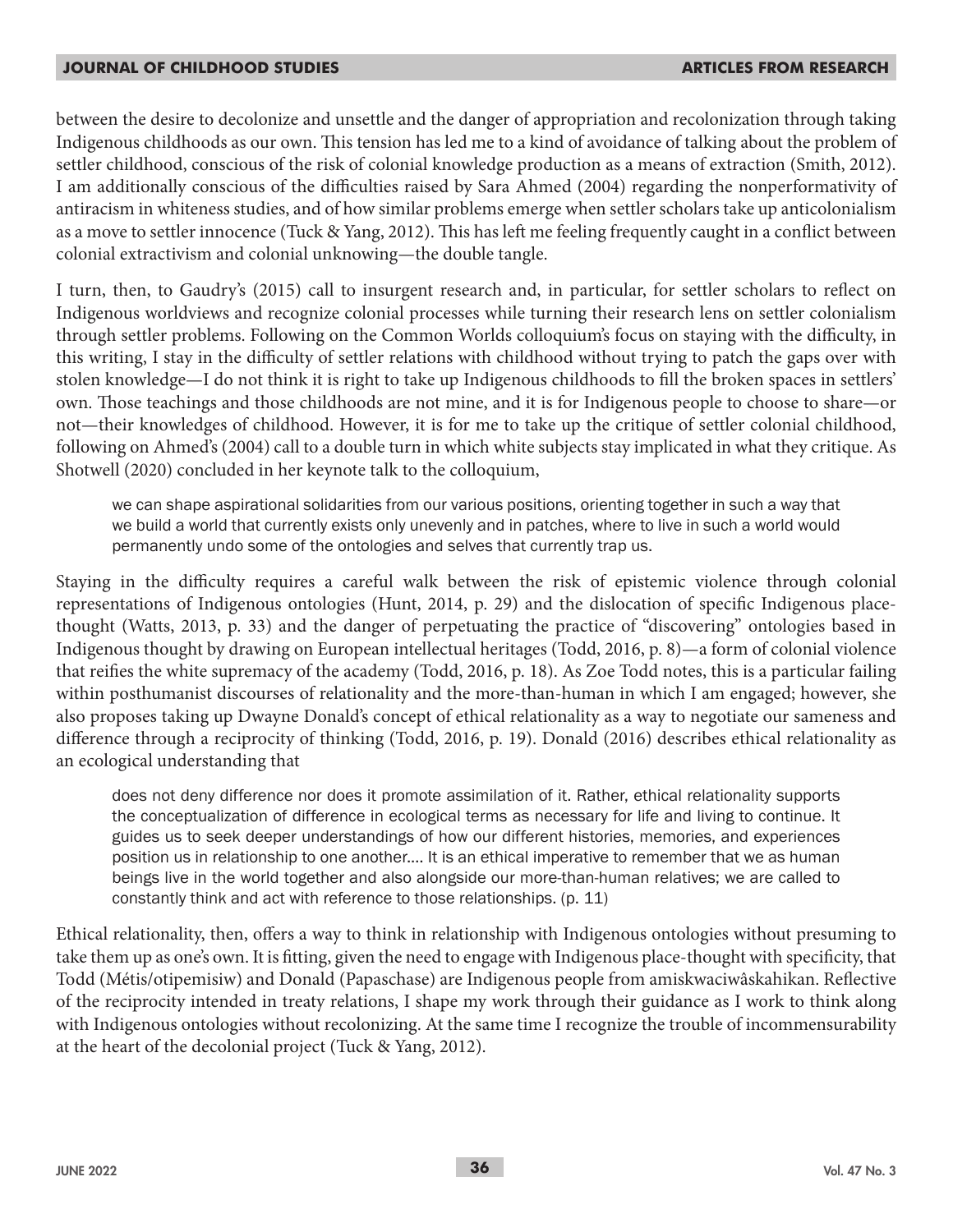between the desire to decolonize and unsettle and the danger of appropriation and recolonization through taking Indigenous childhoods as our own. This tension has led me to a kind of avoidance of talking about the problem of settler childhood, conscious of the risk of colonial knowledge production as a means of extraction (Smith, 2012). I am additionally conscious of the difficulties raised by Sara Ahmed (2004) regarding the nonperformativity of antiracism in whiteness studies, and of how similar problems emerge when settler scholars take up anticolonialism as a move to settler innocence (Tuck & Yang, 2012). This has left me feeling frequently caught in a conflict between colonial extractivism and colonial unknowing—the double tangle.

I turn, then, to Gaudry's (2015) call to insurgent research and, in particular, for settler scholars to reflect on Indigenous worldviews and recognize colonial processes while turning their research lens on settler colonialism through settler problems. Following on the Common Worlds colloquium's focus on staying with the difficulty, in this writing, I stay in the difficulty of settler relations with childhood without trying to patch the gaps over with stolen knowledge—I do not think it is right to take up Indigenous childhoods to fill the broken spaces in settlers' own. Those teachings and those childhoods are not mine, and it is for Indigenous people to choose to share—or not—their knowledges of childhood. However, it is for me to take up the critique of settler colonial childhood, following on Ahmed's (2004) call to a double turn in which white subjects stay implicated in what they critique. As Shotwell (2020) concluded in her keynote talk to the colloquium,

we can shape aspirational solidarities from our various positions, orienting together in such a way that we build a world that currently exists only unevenly and in patches, where to live in such a world would permanently undo some of the ontologies and selves that currently trap us.

Staying in the difficulty requires a careful walk between the risk of epistemic violence through colonial representations of Indigenous ontologies (Hunt, 2014, p. 29) and the dislocation of specific Indigenous placethought (Watts, 2013, p. 33) and the danger of perpetuating the practice of "discovering" ontologies based in Indigenous thought by drawing on European intellectual heritages (Todd, 2016, p. 8)—a form of colonial violence that reifies the white supremacy of the academy (Todd, 2016, p. 18). As Zoe Todd notes, this is a particular failing within posthumanist discourses of relationality and the more-than-human in which I am engaged; however, she also proposes taking up Dwayne Donald's concept of ethical relationality as a way to negotiate our sameness and difference through a reciprocity of thinking (Todd, 2016, p. 19). Donald (2016) describes ethical relationality as an ecological understanding that

does not deny difference nor does it promote assimilation of it. Rather, ethical relationality supports the conceptualization of difference in ecological terms as necessary for life and living to continue. It guides us to seek deeper understandings of how our different histories, memories, and experiences position us in relationship to one another.… It is an ethical imperative to remember that we as human beings live in the world together and also alongside our more-than-human relatives; we are called to constantly think and act with reference to those relationships. (p. 11)

Ethical relationality, then, offers a way to think in relationship with Indigenous ontologies without presuming to take them up as one's own. It is fitting, given the need to engage with Indigenous place-thought with specificity, that Todd (Métis/otipemisiw) and Donald (Papaschase) are Indigenous people from amiskwaciwâskahikan. Reflective of the reciprocity intended in treaty relations, I shape my work through their guidance as I work to think along with Indigenous ontologies without recolonizing. At the same time I recognize the trouble of incommensurability at the heart of the decolonial project (Tuck & Yang, 2012).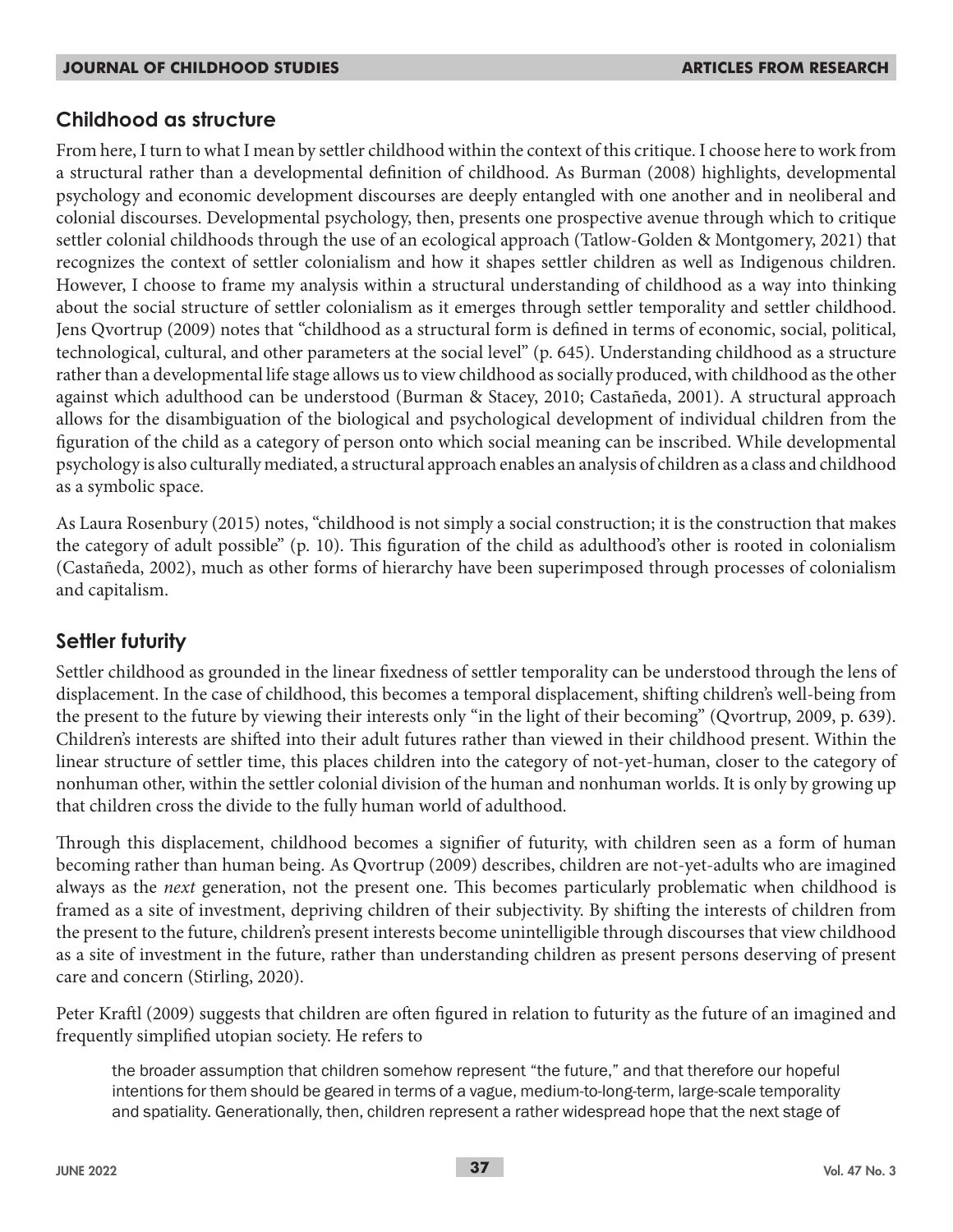### **Childhood as structure**

From here, I turn to what I mean by settler childhood within the context of this critique. I choose here to work from a structural rather than a developmental definition of childhood. As Burman (2008) highlights, developmental psychology and economic development discourses are deeply entangled with one another and in neoliberal and colonial discourses. Developmental psychology, then, presents one prospective avenue through which to critique settler colonial childhoods through the use of an ecological approach (Tatlow-Golden & Montgomery, 2021) that recognizes the context of settler colonialism and how it shapes settler children as well as Indigenous children. However, I choose to frame my analysis within a structural understanding of childhood as a way into thinking about the social structure of settler colonialism as it emerges through settler temporality and settler childhood. Jens Qvortrup (2009) notes that "childhood as a structural form is defined in terms of economic, social, political, technological, cultural, and other parameters at the social level" (p. 645). Understanding childhood as a structure rather than a developmental life stage allows us to view childhood as socially produced, with childhood as the other against which adulthood can be understood (Burman & Stacey, 2010; Castañeda, 2001). A structural approach allows for the disambiguation of the biological and psychological development of individual children from the figuration of the child as a category of person onto which social meaning can be inscribed. While developmental psychology is also culturally mediated, a structural approach enables an analysis of children as a class and childhood as a symbolic space.

As Laura Rosenbury (2015) notes, "childhood is not simply a social construction; it is the construction that makes the category of adult possible" (p. 10). This figuration of the child as adulthood's other is rooted in colonialism (Castañeda, 2002), much as other forms of hierarchy have been superimposed through processes of colonialism and capitalism.

## **Settler futurity**

Settler childhood as grounded in the linear fixedness of settler temporality can be understood through the lens of displacement. In the case of childhood, this becomes a temporal displacement, shifting children's well-being from the present to the future by viewing their interests only "in the light of their becoming" (Qvortrup, 2009, p. 639). Children's interests are shifted into their adult futures rather than viewed in their childhood present. Within the linear structure of settler time, this places children into the category of not-yet-human, closer to the category of nonhuman other, within the settler colonial division of the human and nonhuman worlds. It is only by growing up that children cross the divide to the fully human world of adulthood.

Through this displacement, childhood becomes a signifier of futurity, with children seen as a form of human becoming rather than human being. As Qvortrup (2009) describes, children are not-yet-adults who are imagined always as the *next* generation, not the present one. This becomes particularly problematic when childhood is framed as a site of investment, depriving children of their subjectivity. By shifting the interests of children from the present to the future, children's present interests become unintelligible through discourses that view childhood as a site of investment in the future, rather than understanding children as present persons deserving of present care and concern (Stirling, 2020).

Peter Kraftl (2009) suggests that children are often figured in relation to futurity as the future of an imagined and frequently simplified utopian society. He refers to

the broader assumption that children somehow represent "the future," and that therefore our hopeful intentions for them should be geared in terms of a vague, medium-to-long-term, large-scale temporality and spatiality. Generationally, then, children represent a rather widespread hope that the next stage of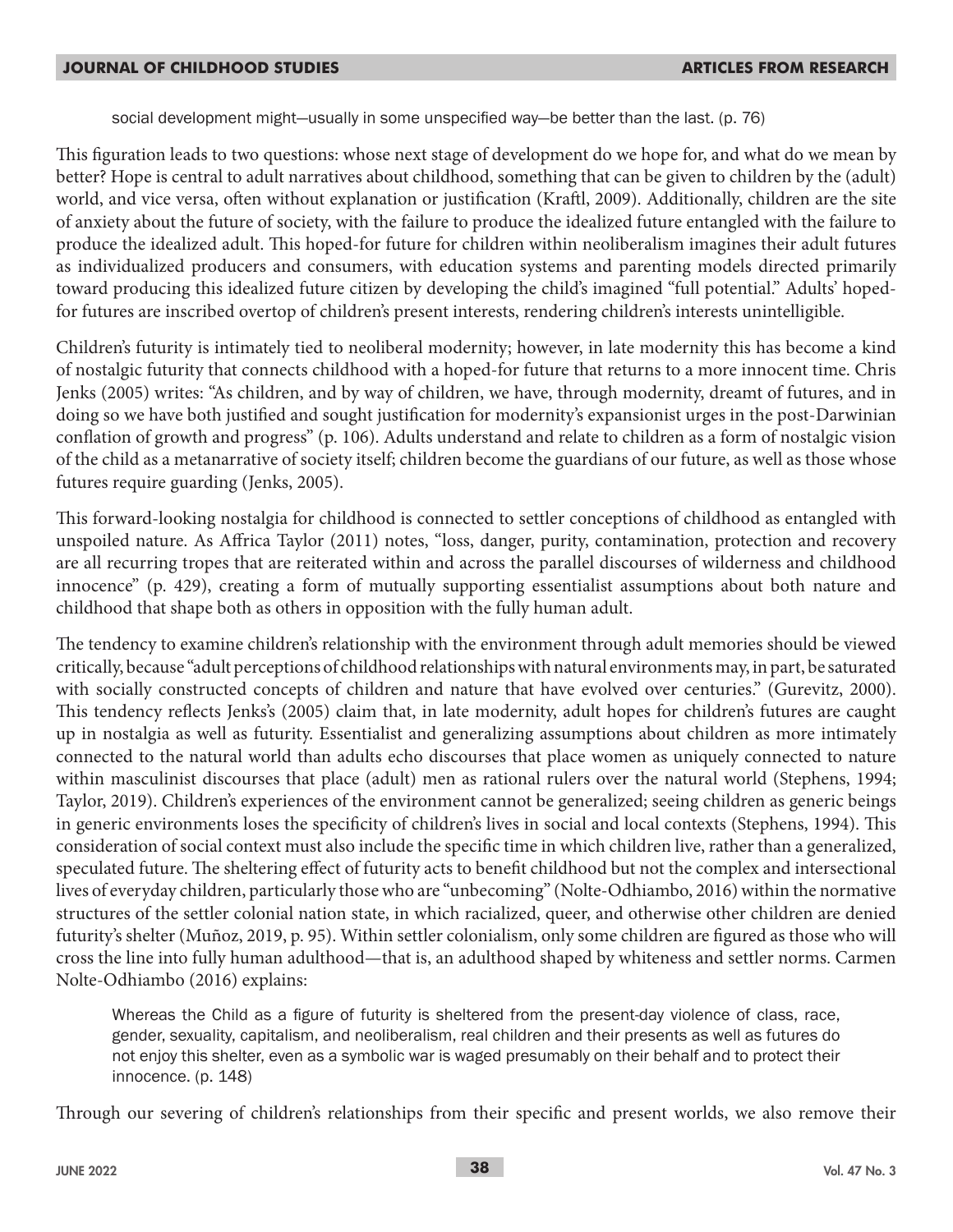social development might—usually in some unspecified way—be better than the last. (p. 76)

This figuration leads to two questions: whose next stage of development do we hope for, and what do we mean by better? Hope is central to adult narratives about childhood, something that can be given to children by the (adult) world, and vice versa, often without explanation or justification (Kraftl, 2009). Additionally, children are the site of anxiety about the future of society, with the failure to produce the idealized future entangled with the failure to produce the idealized adult. This hoped-for future for children within neoliberalism imagines their adult futures as individualized producers and consumers, with education systems and parenting models directed primarily toward producing this idealized future citizen by developing the child's imagined "full potential." Adults' hopedfor futures are inscribed overtop of children's present interests, rendering children's interests unintelligible.

Children's futurity is intimately tied to neoliberal modernity; however, in late modernity this has become a kind of nostalgic futurity that connects childhood with a hoped-for future that returns to a more innocent time. Chris Jenks (2005) writes: "As children, and by way of children, we have, through modernity, dreamt of futures, and in doing so we have both justified and sought justification for modernity's expansionist urges in the post-Darwinian conflation of growth and progress" (p. 106). Adults understand and relate to children as a form of nostalgic vision of the child as a metanarrative of society itself; children become the guardians of our future, as well as those whose futures require guarding (Jenks, 2005).

This forward-looking nostalgia for childhood is connected to settler conceptions of childhood as entangled with unspoiled nature. As Affrica Taylor (2011) notes, "loss, danger, purity, contamination, protection and recovery are all recurring tropes that are reiterated within and across the parallel discourses of wilderness and childhood innocence" (p. 429), creating a form of mutually supporting essentialist assumptions about both nature and childhood that shape both as others in opposition with the fully human adult.

The tendency to examine children's relationship with the environment through adult memories should be viewed critically, because "adult perceptions of childhood relationships with natural environments may, in part, be saturated with socially constructed concepts of children and nature that have evolved over centuries." (Gurevitz, 2000). This tendency reflects Jenks's (2005) claim that, in late modernity, adult hopes for children's futures are caught up in nostalgia as well as futurity. Essentialist and generalizing assumptions about children as more intimately connected to the natural world than adults echo discourses that place women as uniquely connected to nature within masculinist discourses that place (adult) men as rational rulers over the natural world (Stephens, 1994; Taylor, 2019). Children's experiences of the environment cannot be generalized; seeing children as generic beings in generic environments loses the specificity of children's lives in social and local contexts (Stephens, 1994). This consideration of social context must also include the specific time in which children live, rather than a generalized, speculated future. The sheltering effect of futurity acts to benefit childhood but not the complex and intersectional lives of everyday children, particularly those who are "unbecoming" (Nolte-Odhiambo, 2016) within the normative structures of the settler colonial nation state, in which racialized, queer, and otherwise other children are denied futurity's shelter (Muñoz, 2019, p. 95). Within settler colonialism, only some children are figured as those who will cross the line into fully human adulthood—that is, an adulthood shaped by whiteness and settler norms. Carmen Nolte-Odhiambo (2016) explains:

Whereas the Child as a figure of futurity is sheltered from the present-day violence of class, race, gender, sexuality, capitalism, and neoliberalism, real children and their presents as well as futures do not enjoy this shelter, even as a symbolic war is waged presumably on their behalf and to protect their innocence. (p. 148)

Through our severing of children's relationships from their specific and present worlds, we also remove their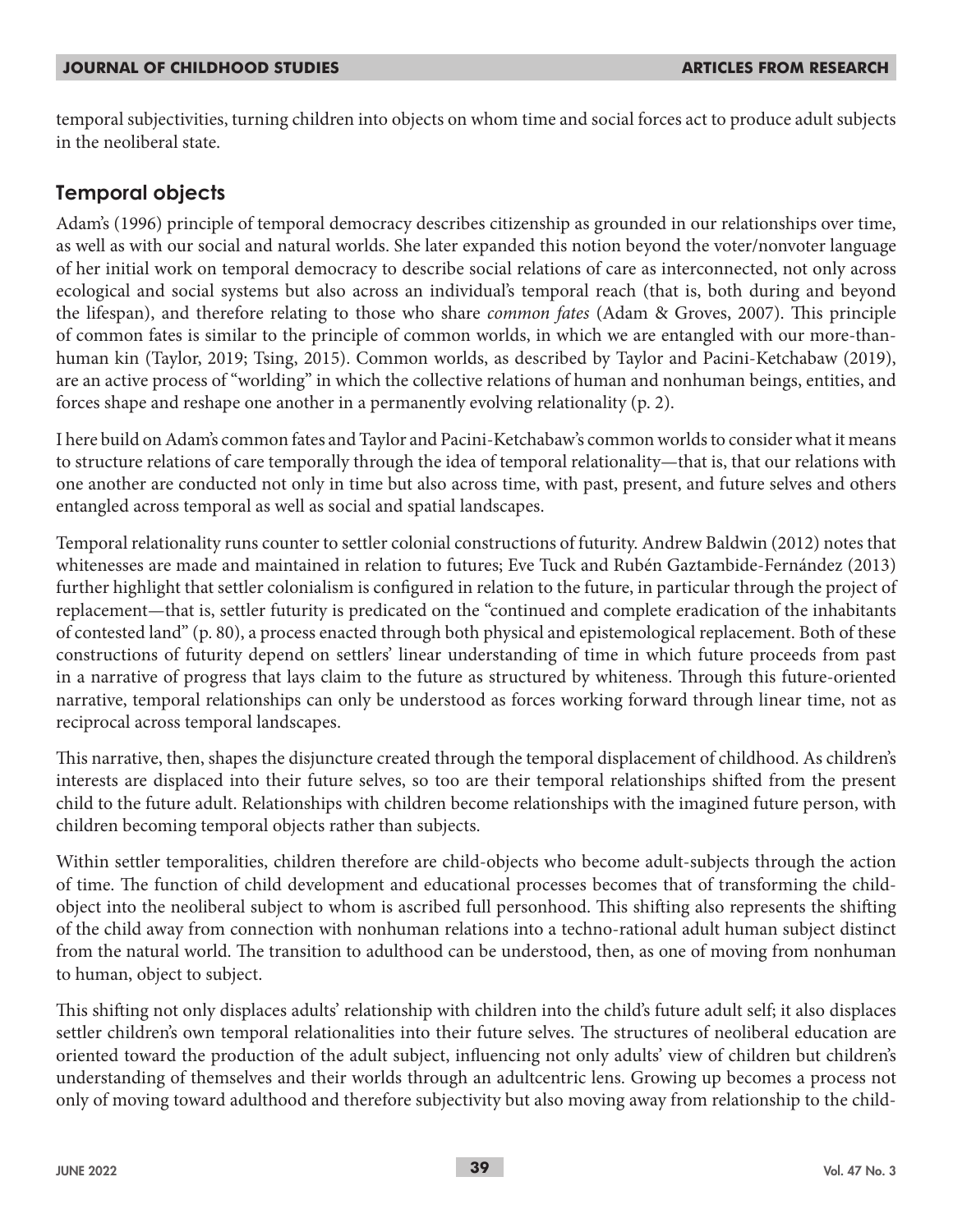temporal subjectivities, turning children into objects on whom time and social forces act to produce adult subjects in the neoliberal state.

## **Temporal objects**

Adam's (1996) principle of temporal democracy describes citizenship as grounded in our relationships over time, as well as with our social and natural worlds. She later expanded this notion beyond the voter/nonvoter language of her initial work on temporal democracy to describe social relations of care as interconnected, not only across ecological and social systems but also across an individual's temporal reach (that is, both during and beyond the lifespan), and therefore relating to those who share *common fates* (Adam & Groves, 2007). This principle of common fates is similar to the principle of common worlds, in which we are entangled with our more-thanhuman kin (Taylor, 2019; Tsing, 2015). Common worlds, as described by Taylor and Pacini-Ketchabaw (2019), are an active process of "worlding" in which the collective relations of human and nonhuman beings, entities, and forces shape and reshape one another in a permanently evolving relationality (p. 2).

I here build on Adam's common fates and Taylor and Pacini-Ketchabaw's common worlds to consider what it means to structure relations of care temporally through the idea of temporal relationality—that is, that our relations with one another are conducted not only in time but also across time, with past, present, and future selves and others entangled across temporal as well as social and spatial landscapes.

Temporal relationality runs counter to settler colonial constructions of futurity. Andrew Baldwin (2012) notes that whitenesses are made and maintained in relation to futures; Eve Tuck and Rubén Gaztambide-Fernández (2013) further highlight that settler colonialism is configured in relation to the future, in particular through the project of replacement—that is, settler futurity is predicated on the "continued and complete eradication of the inhabitants of contested land" (p. 80), a process enacted through both physical and epistemological replacement. Both of these constructions of futurity depend on settlers' linear understanding of time in which future proceeds from past in a narrative of progress that lays claim to the future as structured by whiteness. Through this future-oriented narrative, temporal relationships can only be understood as forces working forward through linear time, not as reciprocal across temporal landscapes.

This narrative, then, shapes the disjuncture created through the temporal displacement of childhood. As children's interests are displaced into their future selves, so too are their temporal relationships shifted from the present child to the future adult. Relationships with children become relationships with the imagined future person, with children becoming temporal objects rather than subjects.

Within settler temporalities, children therefore are child-objects who become adult-subjects through the action of time. The function of child development and educational processes becomes that of transforming the childobject into the neoliberal subject to whom is ascribed full personhood. This shifting also represents the shifting of the child away from connection with nonhuman relations into a techno-rational adult human subject distinct from the natural world. The transition to adulthood can be understood, then, as one of moving from nonhuman to human, object to subject.

This shifting not only displaces adults' relationship with children into the child's future adult self; it also displaces settler children's own temporal relationalities into their future selves. The structures of neoliberal education are oriented toward the production of the adult subject, influencing not only adults' view of children but children's understanding of themselves and their worlds through an adultcentric lens. Growing up becomes a process not only of moving toward adulthood and therefore subjectivity but also moving away from relationship to the child-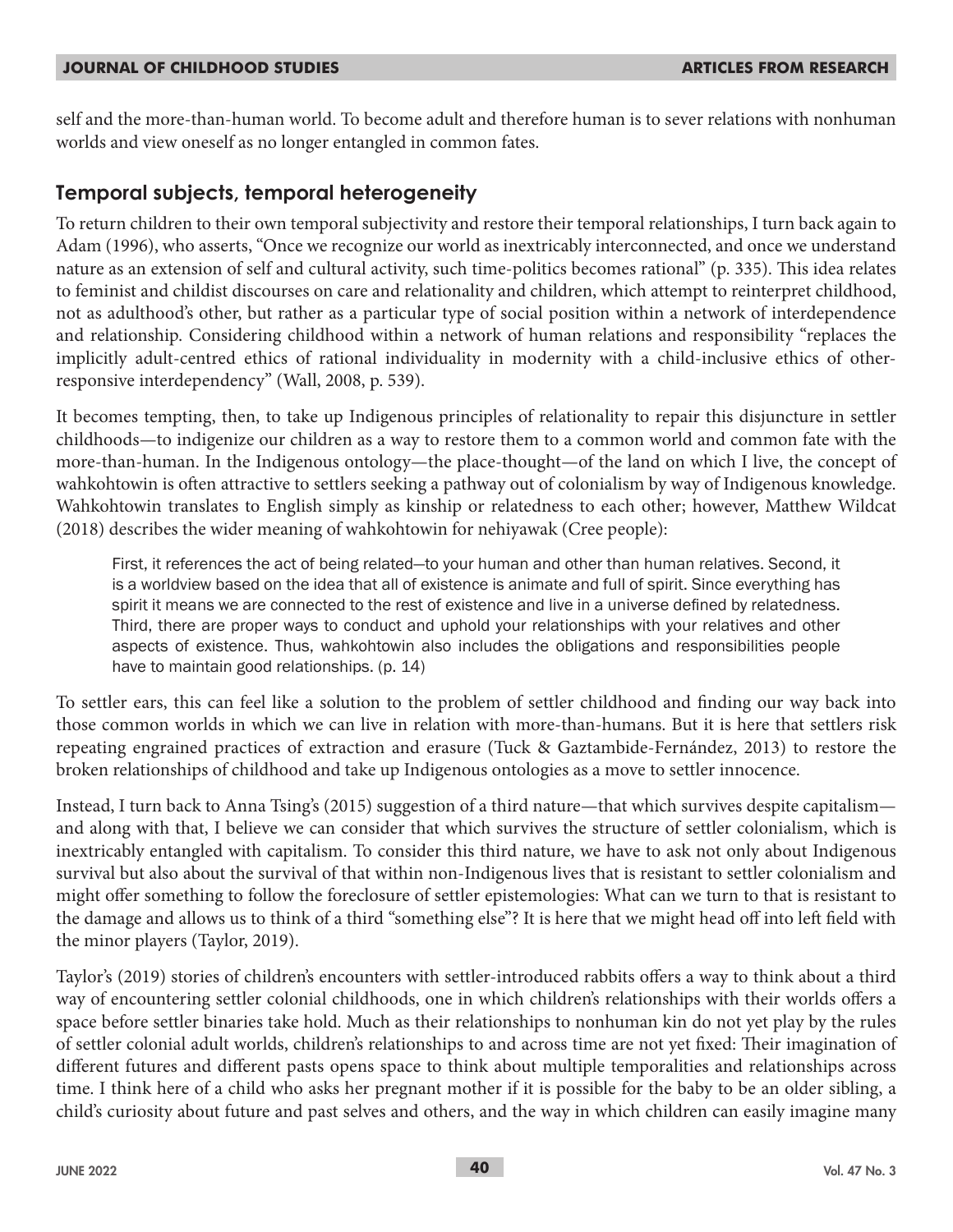self and the more-than-human world. To become adult and therefore human is to sever relations with nonhuman worlds and view oneself as no longer entangled in common fates.

### **Temporal subjects, temporal heterogeneity**

To return children to their own temporal subjectivity and restore their temporal relationships, I turn back again to Adam (1996), who asserts, "Once we recognize our world as inextricably interconnected, and once we understand nature as an extension of self and cultural activity, such time-politics becomes rational" (p. 335). This idea relates to feminist and childist discourses on care and relationality and children, which attempt to reinterpret childhood, not as adulthood's other, but rather as a particular type of social position within a network of interdependence and relationship. Considering childhood within a network of human relations and responsibility "replaces the implicitly adult-centred ethics of rational individuality in modernity with a child-inclusive ethics of otherresponsive interdependency" (Wall, 2008, p. 539).

It becomes tempting, then, to take up Indigenous principles of relationality to repair this disjuncture in settler childhoods—to indigenize our children as a way to restore them to a common world and common fate with the more-than-human. In the Indigenous ontology—the place-thought—of the land on which I live, the concept of wahkohtowin is often attractive to settlers seeking a pathway out of colonialism by way of Indigenous knowledge. Wahkohtowin translates to English simply as kinship or relatedness to each other; however, Matthew Wildcat (2018) describes the wider meaning of wahkohtowin for nehiyawak (Cree people):

First, it references the act of being related—to your human and other than human relatives. Second, it is a worldview based on the idea that all of existence is animate and full of spirit. Since everything has spirit it means we are connected to the rest of existence and live in a universe defined by relatedness. Third, there are proper ways to conduct and uphold your relationships with your relatives and other aspects of existence. Thus, wahkohtowin also includes the obligations and responsibilities people have to maintain good relationships. (p. 14)

To settler ears, this can feel like a solution to the problem of settler childhood and finding our way back into those common worlds in which we can live in relation with more-than-humans. But it is here that settlers risk repeating engrained practices of extraction and erasure (Tuck & Gaztambide-Fernández, 2013) to restore the broken relationships of childhood and take up Indigenous ontologies as a move to settler innocence.

Instead, I turn back to Anna Tsing's (2015) suggestion of a third nature—that which survives despite capitalism and along with that, I believe we can consider that which survives the structure of settler colonialism, which is inextricably entangled with capitalism. To consider this third nature, we have to ask not only about Indigenous survival but also about the survival of that within non-Indigenous lives that is resistant to settler colonialism and might offer something to follow the foreclosure of settler epistemologies: What can we turn to that is resistant to the damage and allows us to think of a third "something else"? It is here that we might head off into left field with the minor players (Taylor, 2019).

Taylor's (2019) stories of children's encounters with settler-introduced rabbits offers a way to think about a third way of encountering settler colonial childhoods, one in which children's relationships with their worlds offers a space before settler binaries take hold. Much as their relationships to nonhuman kin do not yet play by the rules of settler colonial adult worlds, children's relationships to and across time are not yet fixed: Their imagination of different futures and different pasts opens space to think about multiple temporalities and relationships across time. I think here of a child who asks her pregnant mother if it is possible for the baby to be an older sibling, a child's curiosity about future and past selves and others, and the way in which children can easily imagine many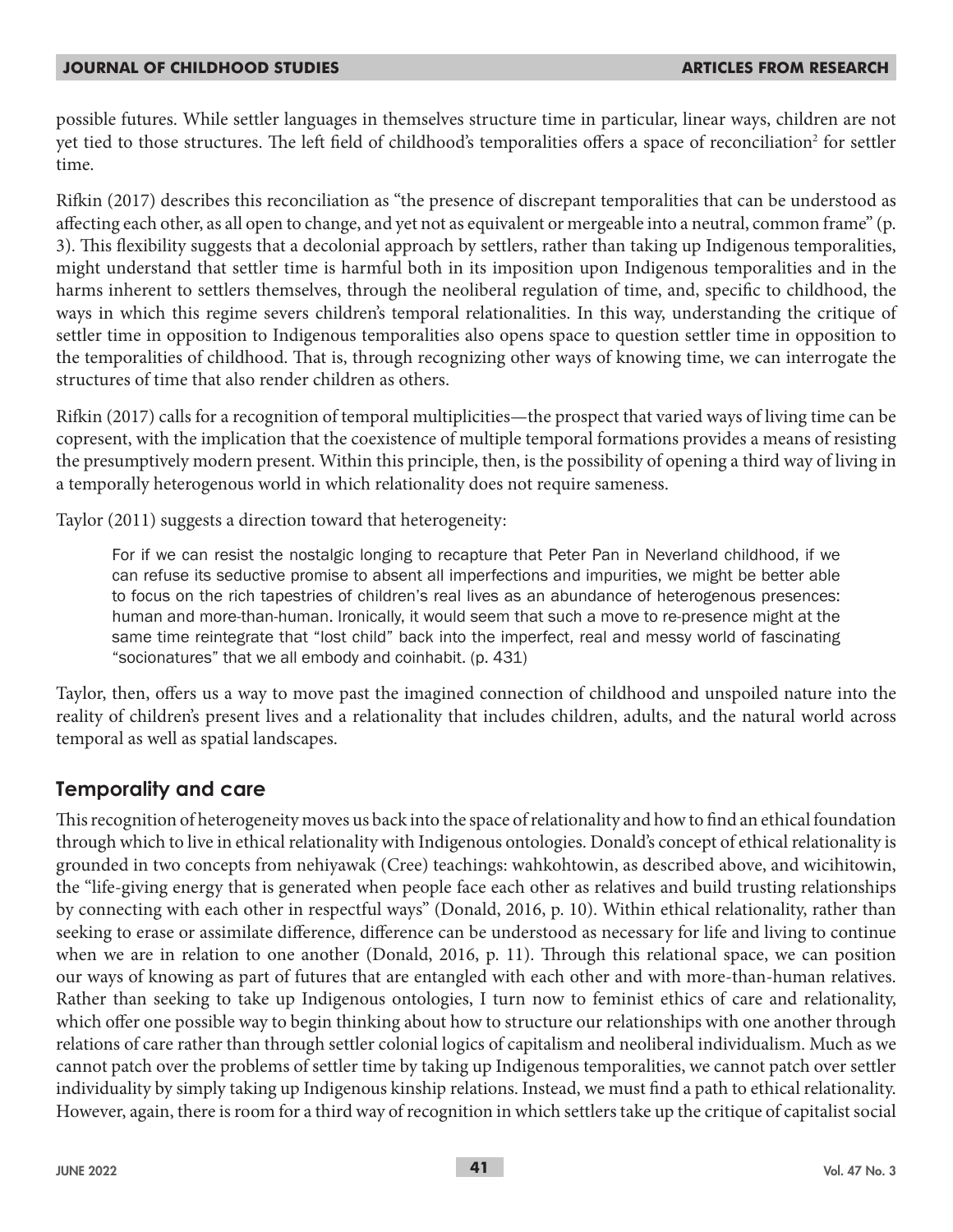possible futures. While settler languages in themselves structure time in particular, linear ways, children are not yet tied to those structures. The left field of childhood's temporalities offers a space of reconciliation $^2$  for settler time.

Rifkin (2017) describes this reconciliation as "the presence of discrepant temporalities that can be understood as affecting each other, as all open to change, and yet not as equivalent or mergeable into a neutral, common frame" (p. 3). This flexibility suggests that a decolonial approach by settlers, rather than taking up Indigenous temporalities, might understand that settler time is harmful both in its imposition upon Indigenous temporalities and in the harms inherent to settlers themselves, through the neoliberal regulation of time, and, specific to childhood, the ways in which this regime severs children's temporal relationalities. In this way, understanding the critique of settler time in opposition to Indigenous temporalities also opens space to question settler time in opposition to the temporalities of childhood. That is, through recognizing other ways of knowing time, we can interrogate the structures of time that also render children as others.

Rifkin (2017) calls for a recognition of temporal multiplicities—the prospect that varied ways of living time can be copresent, with the implication that the coexistence of multiple temporal formations provides a means of resisting the presumptively modern present. Within this principle, then, is the possibility of opening a third way of living in a temporally heterogenous world in which relationality does not require sameness.

Taylor (2011) suggests a direction toward that heterogeneity:

For if we can resist the nostalgic longing to recapture that Peter Pan in Neverland childhood, if we can refuse its seductive promise to absent all imperfections and impurities, we might be better able to focus on the rich tapestries of children's real lives as an abundance of heterogenous presences: human and more-than-human. Ironically, it would seem that such a move to re-presence might at the same time reintegrate that "lost child" back into the imperfect, real and messy world of fascinating "socionatures" that we all embody and coinhabit. (p. 431)

Taylor, then, offers us a way to move past the imagined connection of childhood and unspoiled nature into the reality of children's present lives and a relationality that includes children, adults, and the natural world across temporal as well as spatial landscapes.

## **Temporality and care**

This recognition of heterogeneity moves us back into the space of relationality and how to find an ethical foundation through which to live in ethical relationality with Indigenous ontologies. Donald's concept of ethical relationality is grounded in two concepts from nehiyawak (Cree) teachings: wahkohtowin, as described above, and wicihitowin, the "life-giving energy that is generated when people face each other as relatives and build trusting relationships by connecting with each other in respectful ways" (Donald, 2016, p. 10). Within ethical relationality, rather than seeking to erase or assimilate difference, difference can be understood as necessary for life and living to continue when we are in relation to one another (Donald, 2016, p. 11). Through this relational space, we can position our ways of knowing as part of futures that are entangled with each other and with more-than-human relatives. Rather than seeking to take up Indigenous ontologies, I turn now to feminist ethics of care and relationality, which offer one possible way to begin thinking about how to structure our relationships with one another through relations of care rather than through settler colonial logics of capitalism and neoliberal individualism. Much as we cannot patch over the problems of settler time by taking up Indigenous temporalities, we cannot patch over settler individuality by simply taking up Indigenous kinship relations. Instead, we must find a path to ethical relationality. However, again, there is room for a third way of recognition in which settlers take up the critique of capitalist social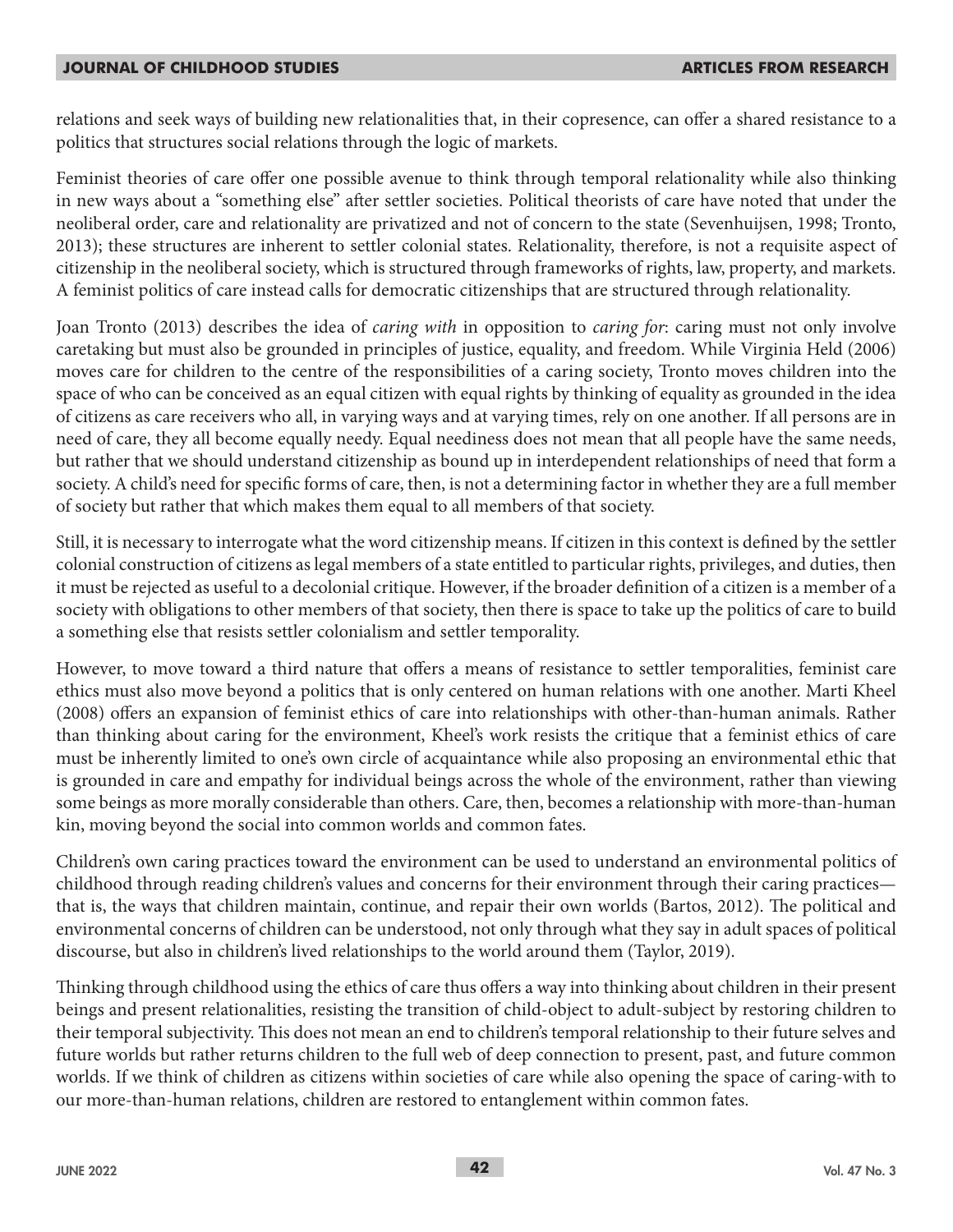relations and seek ways of building new relationalities that, in their copresence, can offer a shared resistance to a politics that structures social relations through the logic of markets.

Feminist theories of care offer one possible avenue to think through temporal relationality while also thinking in new ways about a "something else" after settler societies. Political theorists of care have noted that under the neoliberal order, care and relationality are privatized and not of concern to the state (Sevenhuijsen, 1998; Tronto, 2013); these structures are inherent to settler colonial states. Relationality, therefore, is not a requisite aspect of citizenship in the neoliberal society, which is structured through frameworks of rights, law, property, and markets. A feminist politics of care instead calls for democratic citizenships that are structured through relationality.

Joan Tronto (2013) describes the idea of *caring with* in opposition to *caring for*: caring must not only involve caretaking but must also be grounded in principles of justice, equality, and freedom. While Virginia Held (2006) moves care for children to the centre of the responsibilities of a caring society, Tronto moves children into the space of who can be conceived as an equal citizen with equal rights by thinking of equality as grounded in the idea of citizens as care receivers who all, in varying ways and at varying times, rely on one another. If all persons are in need of care, they all become equally needy. Equal neediness does not mean that all people have the same needs, but rather that we should understand citizenship as bound up in interdependent relationships of need that form a society. A child's need for specific forms of care, then, is not a determining factor in whether they are a full member of society but rather that which makes them equal to all members of that society.

Still, it is necessary to interrogate what the word citizenship means. If citizen in this context is defined by the settler colonial construction of citizens as legal members of a state entitled to particular rights, privileges, and duties, then it must be rejected as useful to a decolonial critique. However, if the broader definition of a citizen is a member of a society with obligations to other members of that society, then there is space to take up the politics of care to build a something else that resists settler colonialism and settler temporality.

However, to move toward a third nature that offers a means of resistance to settler temporalities, feminist care ethics must also move beyond a politics that is only centered on human relations with one another. Marti Kheel (2008) offers an expansion of feminist ethics of care into relationships with other-than-human animals. Rather than thinking about caring for the environment, Kheel's work resists the critique that a feminist ethics of care must be inherently limited to one's own circle of acquaintance while also proposing an environmental ethic that is grounded in care and empathy for individual beings across the whole of the environment, rather than viewing some beings as more morally considerable than others. Care, then, becomes a relationship with more-than-human kin, moving beyond the social into common worlds and common fates.

Children's own caring practices toward the environment can be used to understand an environmental politics of childhood through reading children's values and concerns for their environment through their caring practices that is, the ways that children maintain, continue, and repair their own worlds (Bartos, 2012). The political and environmental concerns of children can be understood, not only through what they say in adult spaces of political discourse, but also in children's lived relationships to the world around them (Taylor, 2019).

Thinking through childhood using the ethics of care thus offers a way into thinking about children in their present beings and present relationalities, resisting the transition of child-object to adult-subject by restoring children to their temporal subjectivity. This does not mean an end to children's temporal relationship to their future selves and future worlds but rather returns children to the full web of deep connection to present, past, and future common worlds. If we think of children as citizens within societies of care while also opening the space of caring-with to our more-than-human relations, children are restored to entanglement within common fates.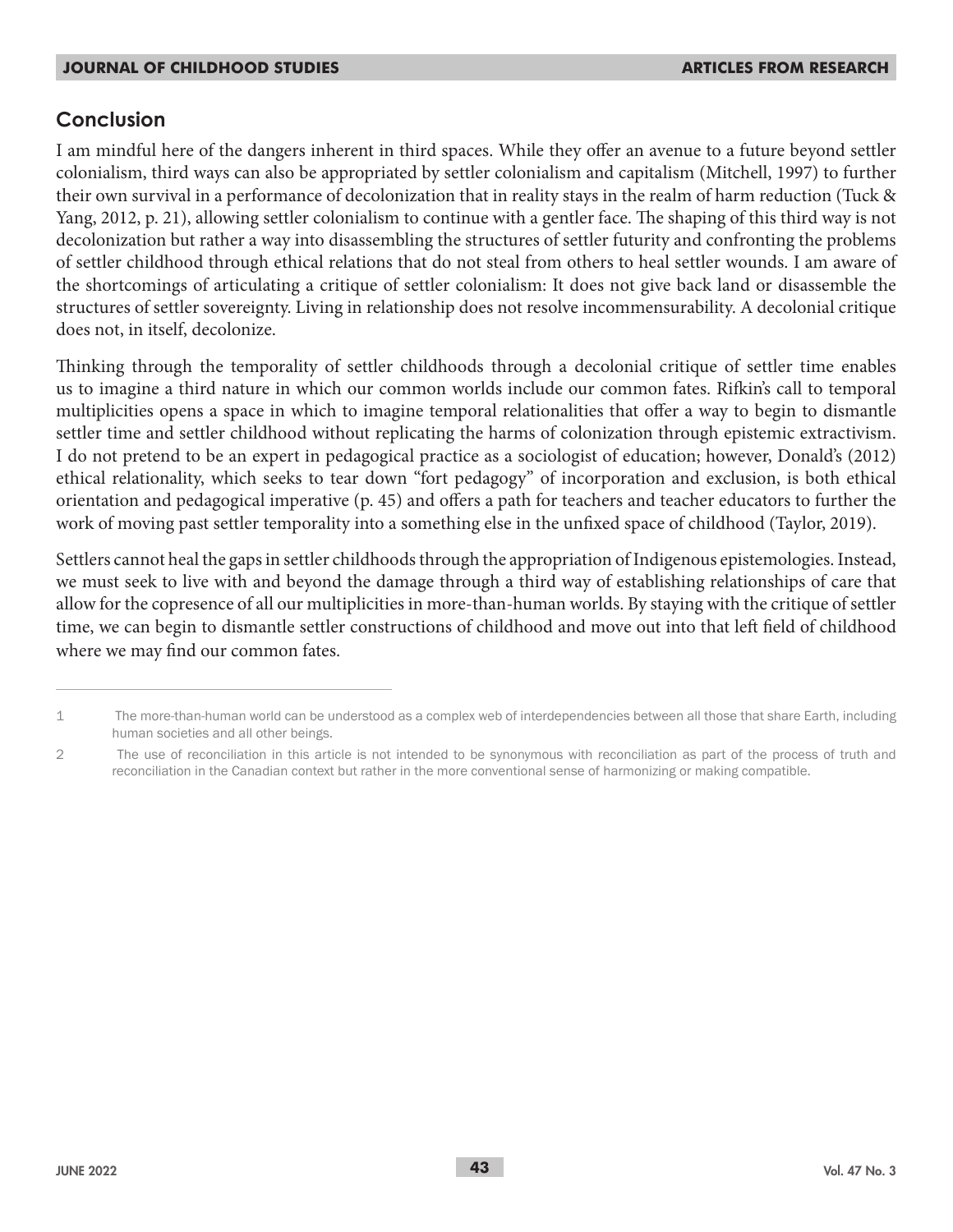### **Conclusion**

I am mindful here of the dangers inherent in third spaces. While they offer an avenue to a future beyond settler colonialism, third ways can also be appropriated by settler colonialism and capitalism (Mitchell, 1997) to further their own survival in a performance of decolonization that in reality stays in the realm of harm reduction (Tuck & Yang, 2012, p. 21), allowing settler colonialism to continue with a gentler face. The shaping of this third way is not decolonization but rather a way into disassembling the structures of settler futurity and confronting the problems of settler childhood through ethical relations that do not steal from others to heal settler wounds. I am aware of the shortcomings of articulating a critique of settler colonialism: It does not give back land or disassemble the structures of settler sovereignty. Living in relationship does not resolve incommensurability. A decolonial critique does not, in itself, decolonize.

Thinking through the temporality of settler childhoods through a decolonial critique of settler time enables us to imagine a third nature in which our common worlds include our common fates. Rifkin's call to temporal multiplicities opens a space in which to imagine temporal relationalities that offer a way to begin to dismantle settler time and settler childhood without replicating the harms of colonization through epistemic extractivism. I do not pretend to be an expert in pedagogical practice as a sociologist of education; however, Donald's (2012) ethical relationality, which seeks to tear down "fort pedagogy" of incorporation and exclusion, is both ethical orientation and pedagogical imperative (p. 45) and offers a path for teachers and teacher educators to further the work of moving past settler temporality into a something else in the unfixed space of childhood (Taylor, 2019).

Settlers cannot heal the gaps in settler childhoods through the appropriation of Indigenous epistemologies. Instead, we must seek to live with and beyond the damage through a third way of establishing relationships of care that allow for the copresence of all our multiplicities in more-than-human worlds. By staying with the critique of settler time, we can begin to dismantle settler constructions of childhood and move out into that left field of childhood where we may find our common fates.

<sup>1</sup> The more-than-human world can be understood as a complex web of interdependencies between all those that share Earth, including human societies and all other beings.

<sup>2</sup> The use of reconciliation in this article is not intended to be synonymous with reconciliation as part of the process of truth and reconciliation in the Canadian context but rather in the more conventional sense of harmonizing or making compatible.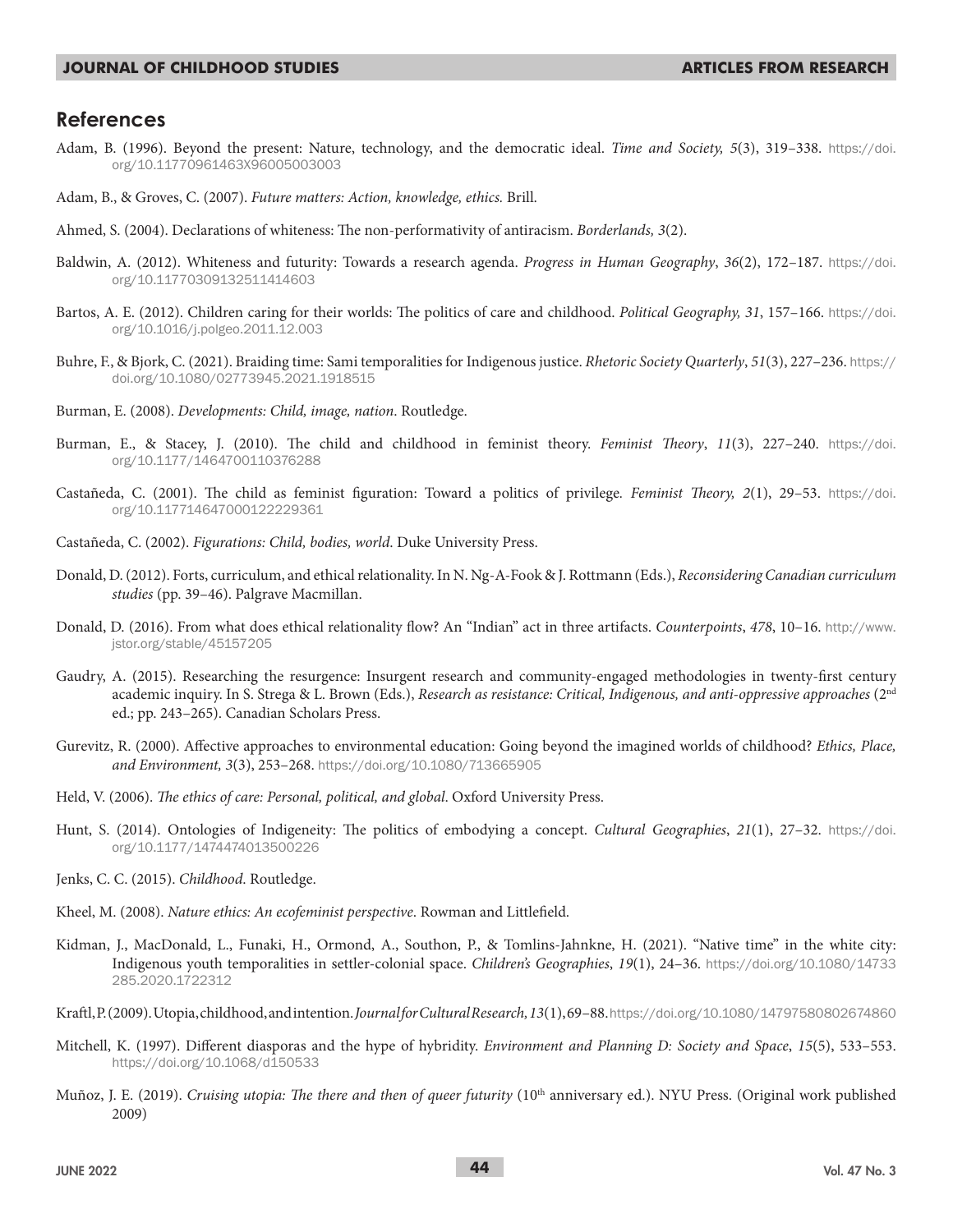#### **References**

- Adam, B. (1996). Beyond the present: Nature, technology, and the democratic ideal. *Time and Society, 5*(3), 319–338. https://doi. org/10.11770961463X96005003003
- Adam, B., & Groves, C. (2007). *Future matters: Action, knowledge, ethics.* Brill.
- Ahmed, S. (2004). Declarations of whiteness: The non-performativity of antiracism. *Borderlands, 3*(2).
- Baldwin, A. (2012). Whiteness and futurity: Towards a research agenda. *Progress in Human Geography*, *36*(2), 172–187. https://doi. org/10.11770309132511414603
- Bartos, A. E. (2012). Children caring for their worlds: The politics of care and childhood. *Political Geography, 31*, 157–166. https://doi. org/10.1016/j.polgeo.2011.12.003
- Buhre, F., & Bjork, C. (2021). Braiding time: Sami temporalities for Indigenous justice. *Rhetoric Society Quarterly*, *51*(3), 227–236. https:// doi.org/10.1080/02773945.2021.1918515
- Burman, E. (2008). *Developments: Child, image, nation*. Routledge.
- Burman, E., & Stacey, J. (2010). The child and childhood in feminist theory. *Feminist Theory*, *11*(3), 227–240. https://doi. org/10.1177/1464700110376288
- Castañeda, C. (2001). The child as feminist figuration: Toward a politics of privilege*. Feminist Theory, 2*(1), 29–53. https://doi. org/10.117714647000122229361
- Castañeda, C. (2002). *Figurations: Child, bodies, world*. Duke University Press.
- Donald, D. (2012). Forts, curriculum, and ethical relationality. In N. Ng-A-Fook & J. Rottmann (Eds.), *Reconsidering Canadian curriculum studies* (pp. 39–46). Palgrave Macmillan.
- Donald, D. (2016). From what does ethical relationality flow? An "Indian" act in three artifacts. *Counterpoints*, *478*, 10–16. http://www. jstor.org/stable/45157205
- Gaudry, A. (2015). Researching the resurgence: Insurgent research and community-engaged methodologies in twenty-first century academic inquiry. In S. Strega & L. Brown (Eds.), *Research as resistance: Critical, Indigenous, and anti-oppressive approaches* (2nd ed.; pp. 243–265). Canadian Scholars Press.
- Gurevitz, R. (2000). Affective approaches to environmental education: Going beyond the imagined worlds of childhood? *Ethics, Place, and Environment, 3*(3), 253–268. https://doi.org/10.1080/713665905
- Held, V. (2006). *The ethics of care: Personal, political, and global*. Oxford University Press.
- Hunt, S. (2014). Ontologies of Indigeneity: The politics of embodying a concept. *Cultural Geographies*, *21*(1), 27–32. https://doi. org/10.1177/1474474013500226
- Jenks, C. C. (2015). *Childhood*. Routledge.
- Kheel, M. (2008). *Nature ethics: An ecofeminist perspective*. Rowman and Littlefield.
- Kidman, J., MacDonald, L., Funaki, H., Ormond, A., Southon, P., & Tomlins-Jahnkne, H. (2021). "Native time" in the white city: Indigenous youth temporalities in settler-colonial space. *Children's Geographies*, *19*(1), 24–36. https://doi.org/10.1080/14733 285.2020.1722312
- Kraftl, P. (2009). Utopia, childhood, and intention. *Journal for Cultural Research, 13*(1), 69–88. https://doi.org/10.1080/14797580802674860
- Mitchell, K. (1997). Different diasporas and the hype of hybridity. *Environment and Planning D: Society and Space*, *15*(5), 533–553. https://doi.org/10.1068/d150533
- Muñoz, J. E. (2019). *Cruising utopia: The there and then of queer futurity* (10<sup>th</sup> anniversary ed.). NYU Press. (Original work published 2009)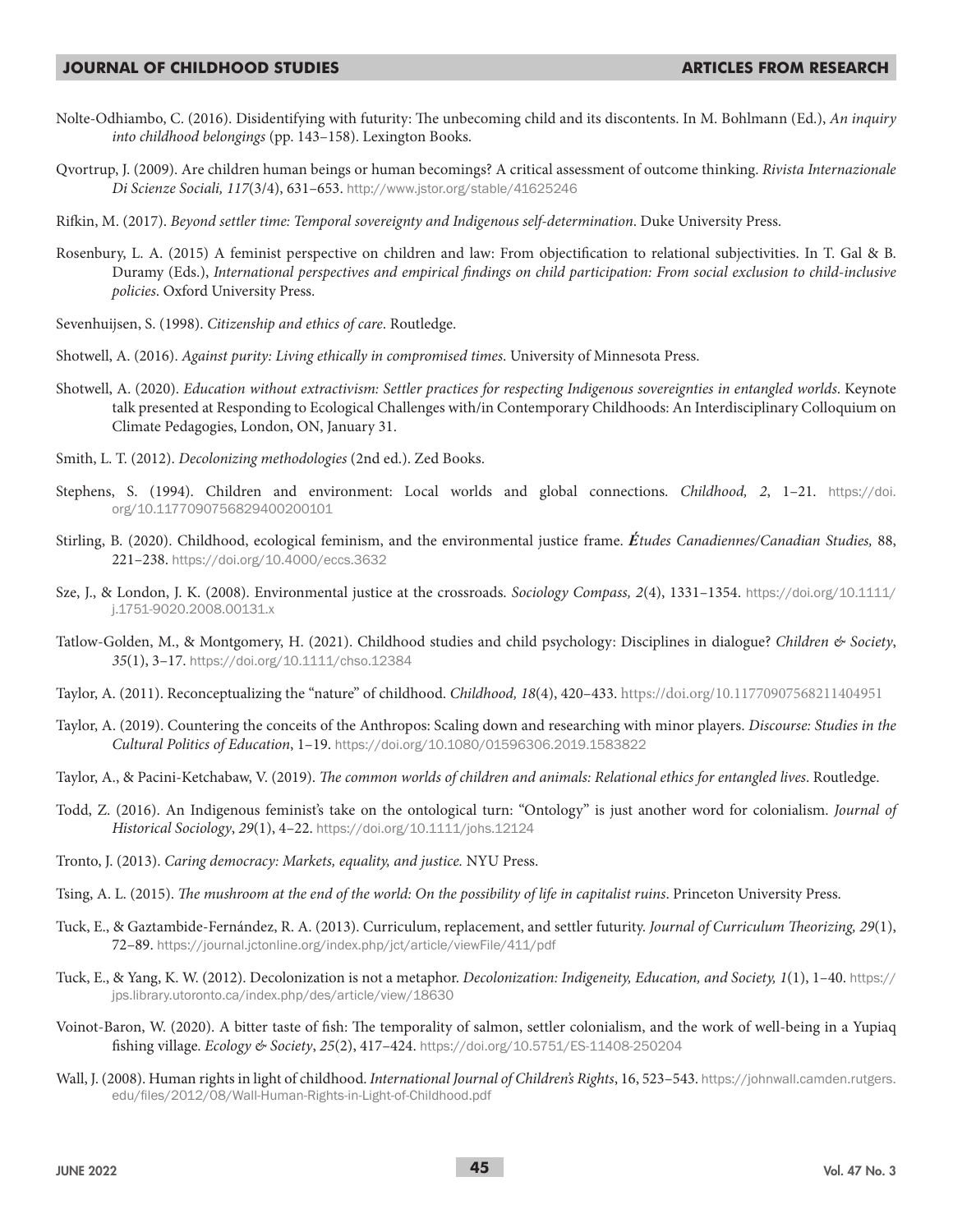- Nolte-Odhiambo, C. (2016). Disidentifying with futurity: The unbecoming child and its discontents. In M. Bohlmann (Ed.), *An inquiry into childhood belongings* (pp. 143–158). Lexington Books.
- Qvortrup, J. (2009). Are children human beings or human becomings? A critical assessment of outcome thinking. *Rivista Internazionale Di Scienze Sociali, 117*(3/4), 631–653. http://www.jstor.org/stable/41625246
- Rifkin, M. (2017). *Beyond settler time: Temporal sovereignty and Indigenous self-determination*. Duke University Press.
- Rosenbury, L. A. (2015) A feminist perspective on children and law: From objectification to relational subjectivities. In T. Gal & B. Duramy (Eds.), *International perspectives and empirical findings on child participation: From social exclusion to child-inclusive policies*. Oxford University Press.
- Sevenhuijsen, S. (1998). *Citizenship and ethics of care*. Routledge.
- Shotwell, A. (2016). *Against purity: Living ethically in compromised times*. University of Minnesota Press.
- Shotwell, A. (2020). *Education without extractivism: Settler practices for respecting Indigenous sovereignties in entangled worlds*. Keynote talk presented at Responding to Ecological Challenges with/in Contemporary Childhoods: An Interdisciplinary Colloquium on Climate Pedagogies, London, ON, January 31.
- Smith, L. T. (2012). *Decolonizing methodologies* (2nd ed.). Zed Books.
- Stephens, S. (1994). Children and environment: Local worlds and global connections. *Childhood, 2*, 1–21. https://doi. org/10.1177090756829400200101
- Stirling, B. (2020). Childhood, ecological feminism, and the environmental justice frame. *Études Canadiennes/Canadian Studies,* 88, 221–238. https://doi.org/10.4000/eccs.3632
- Sze, J., & London, J. K. (2008). Environmental justice at the crossroads. *Sociology Compass, 2*(4), 1331–1354. https://doi.org/10.1111/ j.1751-9020.2008.00131.x
- Tatlow-Golden, M., & Montgomery, H. (2021). Childhood studies and child psychology: Disciplines in dialogue? *Children & Society*, *35*(1), 3–17. https://doi.org/10.1111/chso.12384
- Taylor, A. (2011). Reconceptualizing the "nature" of childhood. *Childhood, 18*(4), 420–433. https://doi.org/10.11770907568211404951
- Taylor, A. (2019). Countering the conceits of the Anthropos: Scaling down and researching with minor players. *Discourse: Studies in the Cultural Politics of Education*, 1–19. https://doi.org/10.1080/01596306.2019.1583822
- Taylor, A., & Pacini-Ketchabaw, V. (2019). *The common worlds of children and animals: Relational ethics for entangled lives*. Routledge.
- Todd, Z. (2016). An Indigenous feminist's take on the ontological turn: "Ontology" is just another word for colonialism. *Journal of Historical Sociology*, *29*(1), 4–22. https://doi.org/10.1111/johs.12124
- Tronto, J. (2013). *Caring democracy: Markets, equality, and justice.* NYU Press.
- Tsing, A. L. (2015). *The mushroom at the end of the world: On the possibility of life in capitalist ruins*. Princeton University Press.
- Tuck, E., & Gaztambide-Fernández, R. A. (2013). Curriculum, replacement, and settler futurity. *Journal of Curriculum Theorizing, 29*(1), 72–89. https://journal.jctonline.org/index.php/jct/article/viewFile/411/pdf
- Tuck, E., & Yang, K. W. (2012). Decolonization is not a metaphor. *Decolonization: Indigeneity, Education, and Society, 1*(1), 1–40. https:// jps.library.utoronto.ca/index.php/des/article/view/18630
- Voinot-Baron, W. (2020). A bitter taste of fish: The temporality of salmon, settler colonialism, and the work of well-being in a Yupiaq fishing village. *Ecology & Society*, *25*(2), 417–424. https://doi.org/10.5751/ES-11408-250204
- Wall, J. (2008). Human rights in light of childhood. *International Journal of Children's Rights*, 16, 523–543. https://johnwall.camden.rutgers. edu/files/2012/08/Wall-Human-Rights-in-Light-of-Childhood.pdf